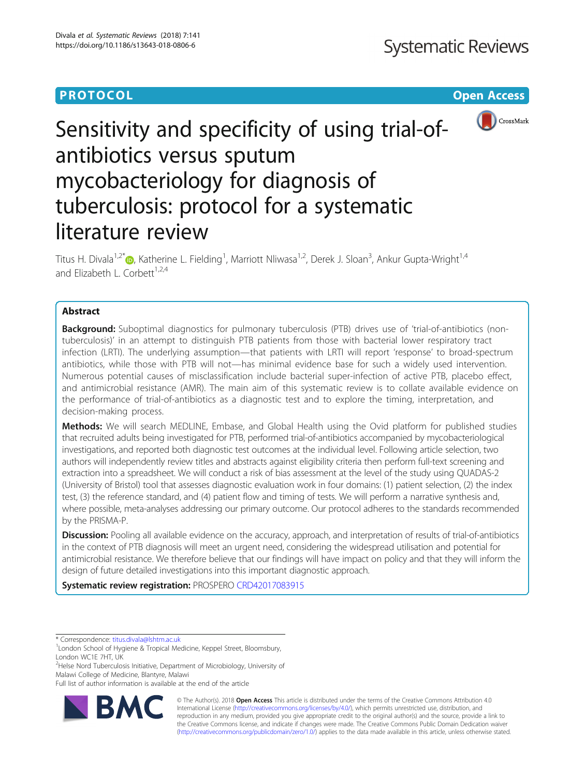## **PROTOCOL CONSUMING THE OPEN ACCESS**



# Sensitivity and specificity of using trial-ofantibiotics versus sputum mycobacteriology for diagnosis of tuberculosis: protocol for a systematic literature review

Titus H. Divala<sup>1,2\*</sup>®, Katherine L. Fielding<sup>1</sup>, Marriott Nliwasa<sup>1,2</sup>, Derek J. Sloan<sup>3</sup>, Ankur Gupta-Wright<sup>1,4</sup> and Elizabeth L. Corbett<sup>1,2,4</sup>

## Abstract

**Background:** Suboptimal diagnostics for pulmonary tuberculosis (PTB) drives use of 'trial-of-antibiotics (nontuberculosis)' in an attempt to distinguish PTB patients from those with bacterial lower respiratory tract infection (LRTI). The underlying assumption—that patients with LRTI will report 'response' to broad-spectrum antibiotics, while those with PTB will not—has minimal evidence base for such a widely used intervention. Numerous potential causes of misclassification include bacterial super-infection of active PTB, placebo effect, and antimicrobial resistance (AMR). The main aim of this systematic review is to collate available evidence on the performance of trial-of-antibiotics as a diagnostic test and to explore the timing, interpretation, and decision-making process.

Methods: We will search MEDLINE, Embase, and Global Health using the Ovid platform for published studies that recruited adults being investigated for PTB, performed trial-of-antibiotics accompanied by mycobacteriological investigations, and reported both diagnostic test outcomes at the individual level. Following article selection, two authors will independently review titles and abstracts against eligibility criteria then perform full-text screening and extraction into a spreadsheet. We will conduct a risk of bias assessment at the level of the study using QUADAS-2 (University of Bristol) tool that assesses diagnostic evaluation work in four domains: (1) patient selection, (2) the index test, (3) the reference standard, and (4) patient flow and timing of tests. We will perform a narrative synthesis and, where possible, meta-analyses addressing our primary outcome. Our protocol adheres to the standards recommended by the PRISMA-P.

Discussion: Pooling all available evidence on the accuracy, approach, and interpretation of results of trial-of-antibiotics in the context of PTB diagnosis will meet an urgent need, considering the widespread utilisation and potential for antimicrobial resistance. We therefore believe that our findings will have impact on policy and that they will inform the design of future detailed investigations into this important diagnostic approach.

Systematic review registration: PROSPERO [CRD42017083915](https://www.crd.york.ac.uk/prospero/display_record.php?RecordID=83915)

\* Correspondence: [titus.divala@lshtm.ac.uk](mailto:titus.divala@lshtm.ac.uk) <sup>1</sup>

<sup>2</sup>Helse Nord Tuberculosis Initiative, Department of Microbiology, University of Malawi College of Medicine, Blantyre, Malawi

Full list of author information is available at the end of the article



© The Author(s). 2018 Open Access This article is distributed under the terms of the Creative Commons Attribution 4.0 International License [\(http://creativecommons.org/licenses/by/4.0/](http://creativecommons.org/licenses/by/4.0/)), which permits unrestricted use, distribution, and reproduction in any medium, provided you give appropriate credit to the original author(s) and the source, provide a link to the Creative Commons license, and indicate if changes were made. The Creative Commons Public Domain Dedication waiver [\(http://creativecommons.org/publicdomain/zero/1.0/](http://creativecommons.org/publicdomain/zero/1.0/)) applies to the data made available in this article, unless otherwise stated.

<sup>&</sup>lt;sup>1</sup> London School of Hygiene & Tropical Medicine, Keppel Street, Bloomsbury, London WC1E 7HT, UK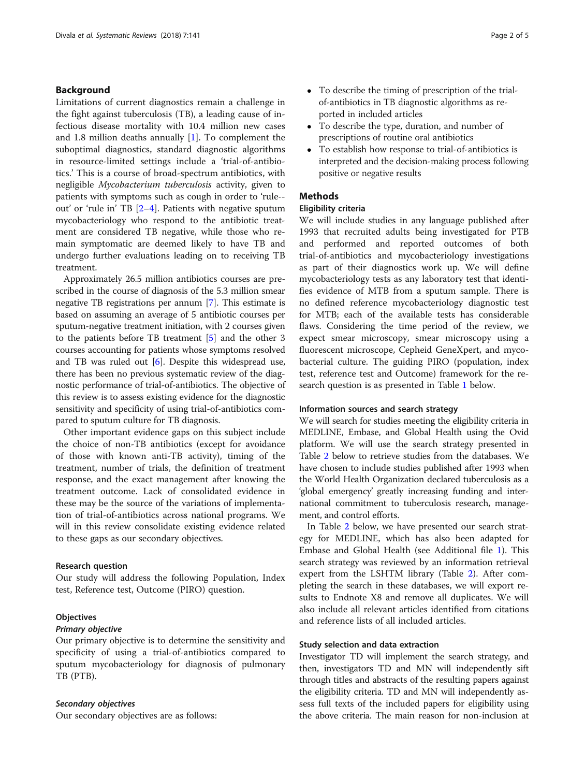## Background

Limitations of current diagnostics remain a challenge in the fight against tuberculosis (TB), a leading cause of infectious disease mortality with 10.4 million new cases and 1.8 million deaths annually [\[1](#page-4-0)]. To complement the suboptimal diagnostics, standard diagnostic algorithms in resource-limited settings include a 'trial-of-antibiotics.' This is a course of broad-spectrum antibiotics, with negligible Mycobacterium tuberculosis activity, given to patients with symptoms such as cough in order to 'rule- out' or 'rule in' TB [\[2](#page-4-0)–[4](#page-4-0)]. Patients with negative sputum mycobacteriology who respond to the antibiotic treatment are considered TB negative, while those who remain symptomatic are deemed likely to have TB and undergo further evaluations leading on to receiving TB treatment.

Approximately 26.5 million antibiotics courses are prescribed in the course of diagnosis of the 5.3 million smear negative TB registrations per annum [[7](#page-4-0)]. This estimate is based on assuming an average of 5 antibiotic courses per sputum-negative treatment initiation, with 2 courses given to the patients before TB treatment [[5](#page-4-0)] and the other 3 courses accounting for patients whose symptoms resolved and TB was ruled out  $[6]$ . Despite this widespread use, there has been no previous systematic review of the diagnostic performance of trial-of-antibiotics. The objective of this review is to assess existing evidence for the diagnostic sensitivity and specificity of using trial-of-antibiotics compared to sputum culture for TB diagnosis.

Other important evidence gaps on this subject include the choice of non-TB antibiotics (except for avoidance of those with known anti-TB activity), timing of the treatment, number of trials, the definition of treatment response, and the exact management after knowing the treatment outcome. Lack of consolidated evidence in these may be the source of the variations of implementation of trial-of-antibiotics across national programs. We will in this review consolidate existing evidence related to these gaps as our secondary objectives.

## Research question

Our study will address the following Population, Index test, Reference test, Outcome (PIRO) question.

## **Objectives**

### Primary objective

Our primary objective is to determine the sensitivity and specificity of using a trial-of-antibiotics compared to sputum mycobacteriology for diagnosis of pulmonary TB (PTB).

### Secondary objectives

Our secondary objectives are as follows:

- To describe the timing of prescription of the trialof-antibiotics in TB diagnostic algorithms as reported in included articles
- To describe the type, duration, and number of prescriptions of routine oral antibiotics
- To establish how response to trial-of-antibiotics is interpreted and the decision-making process following positive or negative results

## **Methods**

## Eligibility criteria

We will include studies in any language published after 1993 that recruited adults being investigated for PTB and performed and reported outcomes of both trial-of-antibiotics and mycobacteriology investigations as part of their diagnostics work up. We will define mycobacteriology tests as any laboratory test that identifies evidence of MTB from a sputum sample. There is no defined reference mycobacteriology diagnostic test for MTB; each of the available tests has considerable flaws. Considering the time period of the review, we expect smear microscopy, smear microscopy using a fluorescent microscope, Cepheid GeneXpert, and mycobacterial culture. The guiding PIRO (population, index test, reference test and Outcome) framework for the research question is as presented in Table [1](#page-2-0) below.

## Information sources and search strategy

We will search for studies meeting the eligibility criteria in MEDLINE, Embase, and Global Health using the Ovid platform. We will use the search strategy presented in Table [2](#page-2-0) below to retrieve studies from the databases. We have chosen to include studies published after 1993 when the World Health Organization declared tuberculosis as a 'global emergency' greatly increasing funding and international commitment to tuberculosis research, management, and control efforts.

In Table [2](#page-2-0) below, we have presented our search strategy for MEDLINE, which has also been adapted for Embase and Global Health (see Additional file [1\)](#page-3-0). This search strategy was reviewed by an information retrieval expert from the LSHTM library (Table [2\)](#page-2-0). After completing the search in these databases, we will export results to Endnote X8 and remove all duplicates. We will also include all relevant articles identified from citations and reference lists of all included articles.

## Study selection and data extraction

Investigator TD will implement the search strategy, and then, investigators TD and MN will independently sift through titles and abstracts of the resulting papers against the eligibility criteria. TD and MN will independently assess full texts of the included papers for eligibility using the above criteria. The main reason for non-inclusion at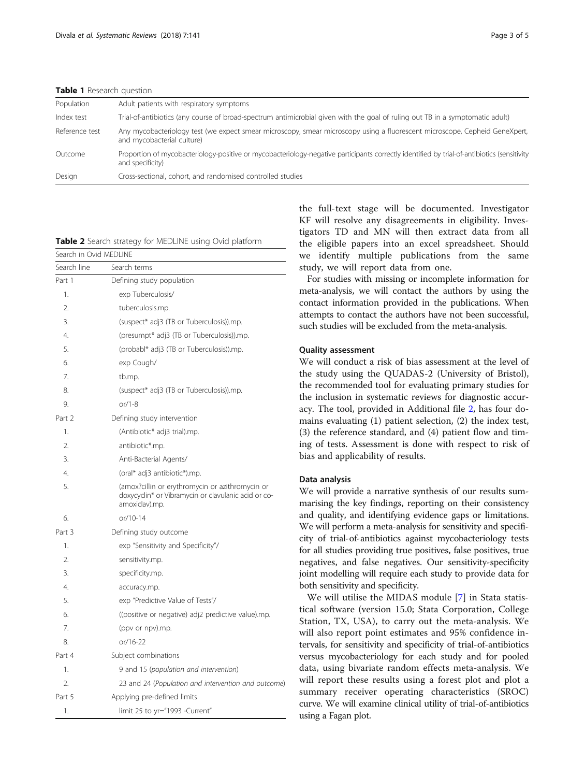<span id="page-2-0"></span>Table 1 Research question

| Reference test | Any mycobacteriology test (we expect smear microscopy, smear microscopy using a fluorescent microscope, Cepheid GeneXpert,<br>and mycobacterial culture) |
|----------------|----------------------------------------------------------------------------------------------------------------------------------------------------------|
|                |                                                                                                                                                          |

Outcome Proportion of mycobacteriology-positive or mycobacteriology-negative participants correctly identified by trial-of-antibiotics (sensitivity and specificity)

Design Cross-sectional, cohort, and randomised controlled studies

Table 2 Search strategy for MEDLINE using Ovid platform Search in Ovid MEDLINE

| Search line | Search terms                                                                                                             |
|-------------|--------------------------------------------------------------------------------------------------------------------------|
| Part 1      | Defining study population                                                                                                |
| 1.          | exp Tuberculosis/                                                                                                        |
| 2.          | tuberculosis.mp.                                                                                                         |
| 3.          | (suspect* adj3 (TB or Tuberculosis)).mp.                                                                                 |
| 4.          | (presumpt* adj3 (TB or Tuberculosis)).mp.                                                                                |
| 5.          | (probabl* adj3 (TB or Tuberculosis)).mp.                                                                                 |
| 6.          | exp Cough/                                                                                                               |
| 7.          | tb.mp.                                                                                                                   |
| 8.          | (suspect* adj3 (TB or Tuberculosis)).mp.                                                                                 |
| 9.          | or/1-8                                                                                                                   |
| Part 2      | Defining study intervention                                                                                              |
| 1.          | (Antibiotic* adj3 trial).mp.                                                                                             |
| 2.          | antibiotic*.mp.                                                                                                          |
| 3.          | Anti-Bacterial Agents/                                                                                                   |
| 4.          | (oral* adj3 antibiotic*).mp.                                                                                             |
| 5.          | (amox?cillin or erythromycin or azithromycin or<br>doxycyclin* or Vibramycin or clavulanic acid or co-<br>amoxiclav).mp. |
| 6.          | or/10-14                                                                                                                 |
| Part 3      | Defining study outcome                                                                                                   |
| 1.          | exp "Sensitivity and Specificity"/                                                                                       |
| 2.          | sensitivity.mp.                                                                                                          |
| 3.          | specificity.mp.                                                                                                          |
| 4.          | accuracy.mp.                                                                                                             |
| 5.          | exp "Predictive Value of Tests"/                                                                                         |
| 6.          | ((positive or negative) adj2 predictive value).mp.                                                                       |
| 7.          | (ppv or npv).mp.                                                                                                         |
| 8.          | or/16-22                                                                                                                 |
| Part 4      | Subject combinations                                                                                                     |
| 1.          | 9 and 15 (population and intervention)                                                                                   |
| 2.          | 23 and 24 (Population and intervention and outcome)                                                                      |
| Part 5      | Applying pre-defined limits                                                                                              |
| 1.          | limit 25 to yr="1993 -Current"                                                                                           |

the full-text stage will be documented. Investigator KF will resolve any disagreements in eligibility. Investigators TD and MN will then extract data from all the eligible papers into an excel spreadsheet. Should we identify multiple publications from the same study, we will report data from one.

For studies with missing or incomplete information for meta-analysis, we will contact the authors by using the contact information provided in the publications. When attempts to contact the authors have not been successful, such studies will be excluded from the meta-analysis.

## Quality assessment

We will conduct a risk of bias assessment at the level of the study using the QUADAS-2 (University of Bristol), the recommended tool for evaluating primary studies for the inclusion in systematic reviews for diagnostic accuracy. The tool, provided in Additional file [2,](#page-3-0) has four domains evaluating (1) patient selection, (2) the index test, (3) the reference standard, and (4) patient flow and timing of tests. Assessment is done with respect to risk of bias and applicability of results.

### Data analysis

We will provide a narrative synthesis of our results summarising the key findings, reporting on their consistency and quality, and identifying evidence gaps or limitations. We will perform a meta-analysis for sensitivity and specificity of trial-of-antibiotics against mycobacteriology tests for all studies providing true positives, false positives, true negatives, and false negatives. Our sensitivity-specificity joint modelling will require each study to provide data for both sensitivity and specificity.

We will utilise the MIDAS module [[7\]](#page-4-0) in Stata statistical software (version 15.0; Stata Corporation, College Station, TX, USA), to carry out the meta-analysis. We will also report point estimates and 95% confidence intervals, for sensitivity and specificity of trial-of-antibiotics versus mycobacteriology for each study and for pooled data, using bivariate random effects meta-analysis. We will report these results using a forest plot and plot a summary receiver operating characteristics (SROC) curve. We will examine clinical utility of trial-of-antibiotics using a Fagan plot.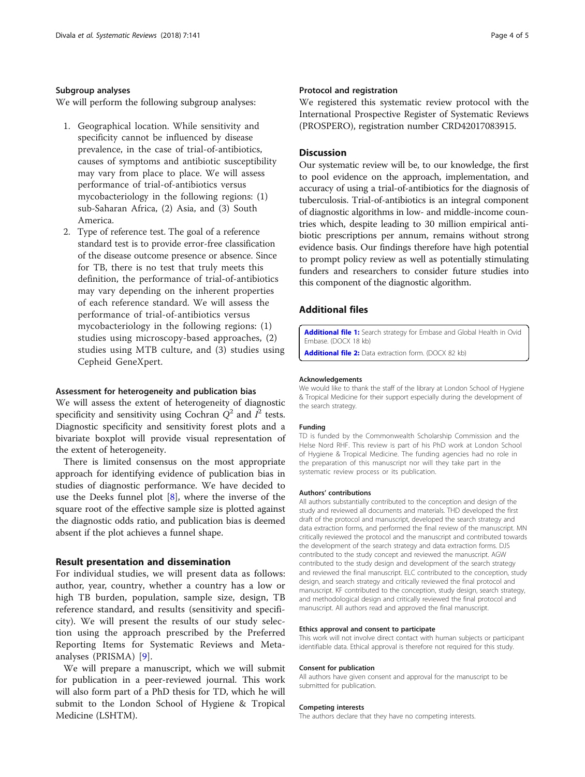## <span id="page-3-0"></span>Subgroup analyses

We will perform the following subgroup analyses:

- 1. Geographical location. While sensitivity and specificity cannot be influenced by disease prevalence, in the case of trial-of-antibiotics, causes of symptoms and antibiotic susceptibility may vary from place to place. We will assess performance of trial-of-antibiotics versus mycobacteriology in the following regions: (1) sub-Saharan Africa, (2) Asia, and (3) South America.
- 2. Type of reference test. The goal of a reference standard test is to provide error-free classification of the disease outcome presence or absence. Since for TB, there is no test that truly meets this definition, the performance of trial-of-antibiotics may vary depending on the inherent properties of each reference standard. We will assess the performance of trial-of-antibiotics versus mycobacteriology in the following regions: (1) studies using microscopy-based approaches, (2) studies using MTB culture, and (3) studies using Cepheid GeneXpert.

## Assessment for heterogeneity and publication bias

We will assess the extent of heterogeneity of diagnostic specificity and sensitivity using Cochran  $Q^2$  and  $I^2$  tests. Diagnostic specificity and sensitivity forest plots and a bivariate boxplot will provide visual representation of the extent of heterogeneity.

There is limited consensus on the most appropriate approach for identifying evidence of publication bias in studies of diagnostic performance. We have decided to use the Deeks funnel plot [\[8](#page-4-0)], where the inverse of the square root of the effective sample size is plotted against the diagnostic odds ratio, and publication bias is deemed absent if the plot achieves a funnel shape.

## Result presentation and dissemination

For individual studies, we will present data as follows: author, year, country, whether a country has a low or high TB burden, population, sample size, design, TB reference standard, and results (sensitivity and specificity). We will present the results of our study selection using the approach prescribed by the Preferred Reporting Items for Systematic Reviews and Metaanalyses (PRISMA) [[9\]](#page-4-0).

We will prepare a manuscript, which we will submit for publication in a peer-reviewed journal. This work will also form part of a PhD thesis for TD, which he will submit to the London School of Hygiene & Tropical Medicine (LSHTM).

## Protocol and registration

We registered this systematic review protocol with the International Prospective Register of Systematic Reviews (PROSPERO), registration number CRD42017083915.

## Discussion

Our systematic review will be, to our knowledge, the first to pool evidence on the approach, implementation, and accuracy of using a trial-of-antibiotics for the diagnosis of tuberculosis. Trial-of-antibiotics is an integral component of diagnostic algorithms in low- and middle-income countries which, despite leading to 30 million empirical antibiotic prescriptions per annum, remains without strong evidence basis. Our findings therefore have high potential to prompt policy review as well as potentially stimulating funders and researchers to consider future studies into this component of the diagnostic algorithm.

## Additional files

[Additional file 1:](https://doi.org/10.1186/s13643-018-0806-6) Search strategy for Embase and Global Health in Ovid Embase. (DOCX 18 kb) [Additional file 2:](https://doi.org/10.1186/s13643-018-0806-6) Data extraction form. (DOCX 82 kb)

#### Acknowledgements

We would like to thank the staff of the library at London School of Hygiene & Tropical Medicine for their support especially during the development of the search strategy.

## Funding

TD is funded by the Commonwealth Scholarship Commission and the Helse Nord RHF. This review is part of his PhD work at London School of Hygiene & Tropical Medicine. The funding agencies had no role in the preparation of this manuscript nor will they take part in the systematic review process or its publication.

#### Authors' contributions

All authors substantially contributed to the conception and design of the study and reviewed all documents and materials. THD developed the first draft of the protocol and manuscript, developed the search strategy and data extraction forms, and performed the final review of the manuscript. MN critically reviewed the protocol and the manuscript and contributed towards the development of the search strategy and data extraction forms. DJS contributed to the study concept and reviewed the manuscript. AGW contributed to the study design and development of the search strategy and reviewed the final manuscript. ELC contributed to the conception, study design, and search strategy and critically reviewed the final protocol and manuscript. KF contributed to the conception, study design, search strategy, and methodological design and critically reviewed the final protocol and manuscript. All authors read and approved the final manuscript.

#### Ethics approval and consent to participate

This work will not involve direct contact with human subjects or participant identifiable data. Ethical approval is therefore not required for this study.

### Consent for publication

All authors have given consent and approval for the manuscript to be submitted for publication.

#### Competing interests

The authors declare that they have no competing interests.